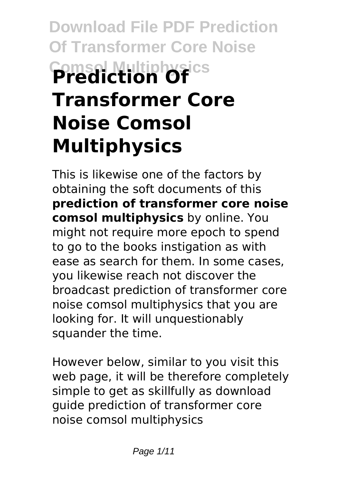# **Download File PDF Prediction Of Transformer Core Noise Comsol Multiphysics Prediction Of Transformer Core Noise Comsol Multiphysics**

This is likewise one of the factors by obtaining the soft documents of this **prediction of transformer core noise comsol multiphysics** by online. You might not require more epoch to spend to go to the books instigation as with ease as search for them. In some cases, you likewise reach not discover the broadcast prediction of transformer core noise comsol multiphysics that you are looking for. It will unquestionably squander the time.

However below, similar to you visit this web page, it will be therefore completely simple to get as skillfully as download guide prediction of transformer core noise comsol multiphysics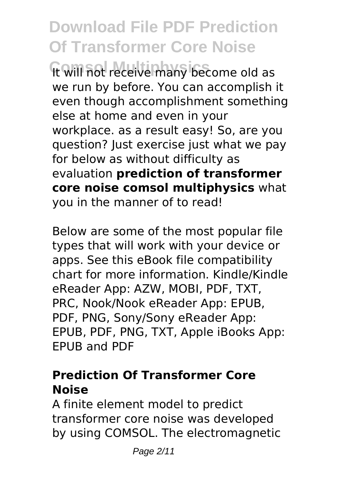# **Download File PDF Prediction Of Transformer Core Noise**

**Comsol Multiphysics** It will not receive many become old as we run by before. You can accomplish it even though accomplishment something else at home and even in your workplace. as a result easy! So, are you question? Just exercise just what we pay for below as without difficulty as evaluation **prediction of transformer core noise comsol multiphysics** what you in the manner of to read!

Below are some of the most popular file types that will work with your device or apps. See this eBook file compatibility chart for more information. Kindle/Kindle eReader App: AZW, MOBI, PDF, TXT, PRC, Nook/Nook eReader App: EPUB, PDF, PNG, Sony/Sony eReader App: EPUB, PDF, PNG, TXT, Apple iBooks App: EPUB and PDF

# **Prediction Of Transformer Core Noise**

A finite element model to predict transformer core noise was developed by using COMSOL. The electromagnetic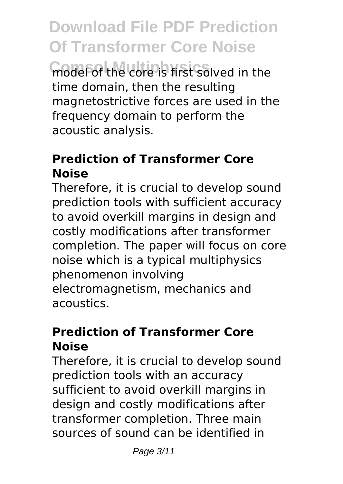**Download File PDF Prediction Of Transformer Core Noise Comsol Multiphysics** model of the core is first solved in the time domain, then the resulting magnetostrictive forces are used in the frequency domain to perform the acoustic analysis.

# **Prediction of Transformer Core Noise**

Therefore, it is crucial to develop sound prediction tools with sufficient accuracy to avoid overkill margins in design and costly modifications after transformer completion. The paper will focus on core noise which is a typical multiphysics phenomenon involving electromagnetism, mechanics and acoustics.

# **Prediction of Transformer Core Noise**

Therefore, it is crucial to develop sound prediction tools with an accuracy sufficient to avoid overkill margins in design and costly modifications after transformer completion. Three main sources of sound can be identified in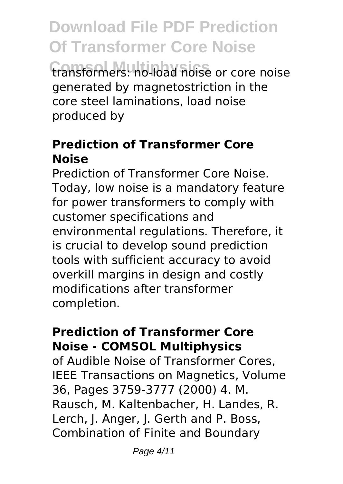**Download File PDF Prediction Of Transformer Core Noise Comsol Multiphysics** transformers: no-load noise or core noise generated by magnetostriction in the core steel laminations, load noise produced by

# **Prediction of Transformer Core Noise**

Prediction of Transformer Core Noise. Today, low noise is a mandatory feature for power transformers to comply with customer specifications and environmental regulations. Therefore, it is crucial to develop sound prediction tools with sufficient accuracy to avoid overkill margins in design and costly modifications after transformer completion.

# **Prediction of Transformer Core Noise - COMSOL Multiphysics**

of Audible Noise of Transformer Cores, IEEE Transactions on Magnetics, Volume 36, Pages 3759-3777 (2000) 4. M. Rausch, M. Kaltenbacher, H. Landes, R. Lerch, J. Anger, J. Gerth and P. Boss, Combination of Finite and Boundary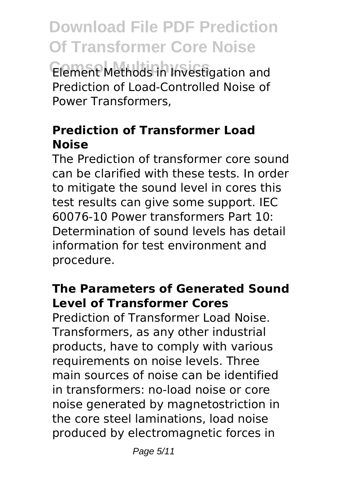**Download File PDF Prediction Of Transformer Core Noise Comsol Multiphysics** Element Methods in Investigation and Prediction of Load-Controlled Noise of Power Transformers,

# **Prediction of Transformer Load Noise**

The Prediction of transformer core sound can be clarified with these tests. In order to mitigate the sound level in cores this test results can give some support. IEC 60076-10 Power transformers Part 10: Determination of sound levels has detail information for test environment and procedure.

# **The Parameters of Generated Sound Level of Transformer Cores**

Prediction of Transformer Load Noise. Transformers, as any other industrial products, have to comply with various requirements on noise levels. Three main sources of noise can be identified in transformers: no-load noise or core noise generated by magnetostriction in the core steel laminations, load noise produced by electromagnetic forces in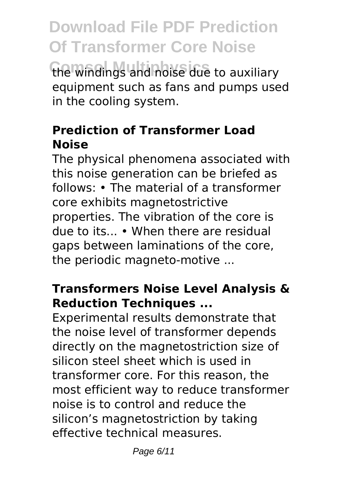**Download File PDF Prediction Of Transformer Core Noise Comsol Multiphysics** the windings and noise due to auxiliary equipment such as fans and pumps used in the cooling system.

# **Prediction of Transformer Load Noise**

The physical phenomena associated with this noise generation can be briefed as follows: • The material of a transformer core exhibits magnetostrictive properties. The vibration of the core is due to its... • When there are residual gaps between laminations of the core, the periodic magneto-motive ...

# **Transformers Noise Level Analysis & Reduction Techniques ...**

Experimental results demonstrate that the noise level of transformer depends directly on the magnetostriction size of silicon steel sheet which is used in transformer core. For this reason, the most efficient way to reduce transformer noise is to control and reduce the silicon's magnetostriction by taking effective technical measures.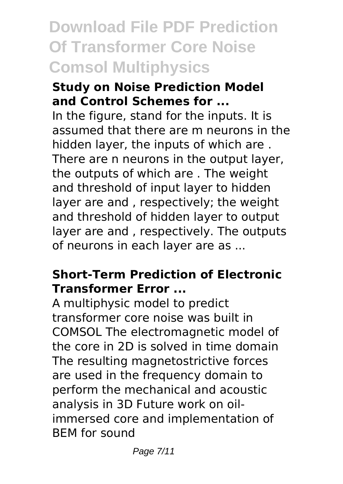# **Download File PDF Prediction Of Transformer Core Noise Comsol Multiphysics**

#### **Study on Noise Prediction Model and Control Schemes for ...**

In the figure, stand for the inputs. It is assumed that there are m neurons in the hidden layer, the inputs of which are . There are n neurons in the output layer, the outputs of which are . The weight and threshold of input layer to hidden layer are and , respectively; the weight and threshold of hidden layer to output layer are and , respectively. The outputs of neurons in each layer are as ...

# **Short-Term Prediction of Electronic Transformer Error ...**

A multiphysic model to predict transformer core noise was built in COMSOL The electromagnetic model of the core in 2D is solved in time domain The resulting magnetostrictive forces are used in the frequency domain to perform the mechanical and acoustic analysis in 3D Future work on oilimmersed core and implementation of BEM for sound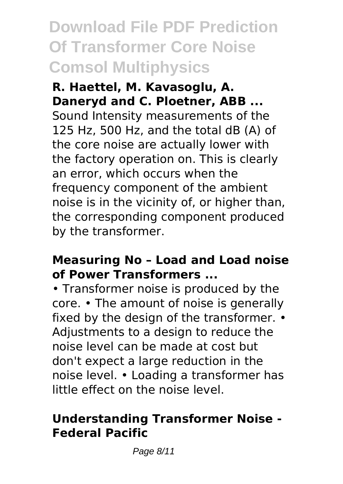# **Download File PDF Prediction Of Transformer Core Noise Comsol Multiphysics**

**R. Haettel, M. Kavasoglu, A. Daneryd and C. Ploetner, ABB ...** Sound Intensity measurements of the 125 Hz, 500 Hz, and the total dB (A) of the core noise are actually lower with the factory operation on. This is clearly an error, which occurs when the frequency component of the ambient noise is in the vicinity of, or higher than, the corresponding component produced by the transformer.

#### **Measuring No – Load and Load noise of Power Transformers ...**

• Transformer noise is produced by the core. • The amount of noise is generally fixed by the design of the transformer. • Adjustments to a design to reduce the noise level can be made at cost but don't expect a large reduction in the noise level. • Loading a transformer has little effect on the noise level.

# **Understanding Transformer Noise - Federal Pacific**

Page 8/11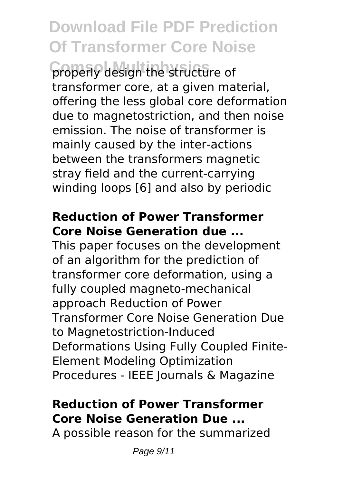# **Download File PDF Prediction Of Transformer Core Noise**

**Comsol Multiphysics** properly design the structure of transformer core, at a given material, offering the less global core deformation due to magnetostriction, and then noise emission. The noise of transformer is mainly caused by the inter-actions between the transformers magnetic stray field and the current-carrying winding loops [6] and also by periodic

#### **Reduction of Power Transformer Core Noise Generation due ...**

This paper focuses on the development of an algorithm for the prediction of transformer core deformation, using a fully coupled magneto-mechanical approach Reduction of Power Transformer Core Noise Generation Due to Magnetostriction-Induced Deformations Using Fully Coupled Finite-Element Modeling Optimization Procedures - IEEE Journals & Magazine

# **Reduction of Power Transformer Core Noise Generation Due ...**

A possible reason for the summarized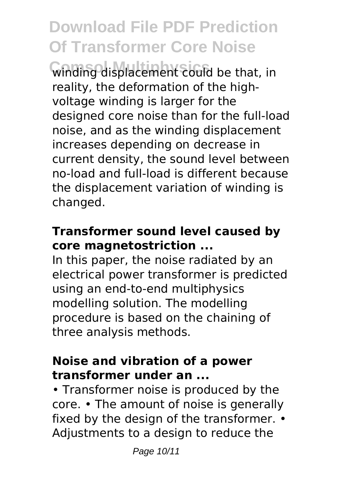# **Download File PDF Prediction Of Transformer Core Noise**

**Comsol Multiphysics** winding displacement could be that, in reality, the deformation of the highvoltage winding is larger for the designed core noise than for the full-load noise, and as the winding displacement increases depending on decrease in current density, the sound level between no-load and full-load is different because the displacement variation of winding is changed.

# **Transformer sound level caused by core magnetostriction ...**

In this paper, the noise radiated by an electrical power transformer is predicted using an end-to-end multiphysics modelling solution. The modelling procedure is based on the chaining of three analysis methods.

#### **Noise and vibration of a power transformer under an ...**

• Transformer noise is produced by the core. • The amount of noise is generally fixed by the design of the transformer. • Adjustments to a design to reduce the